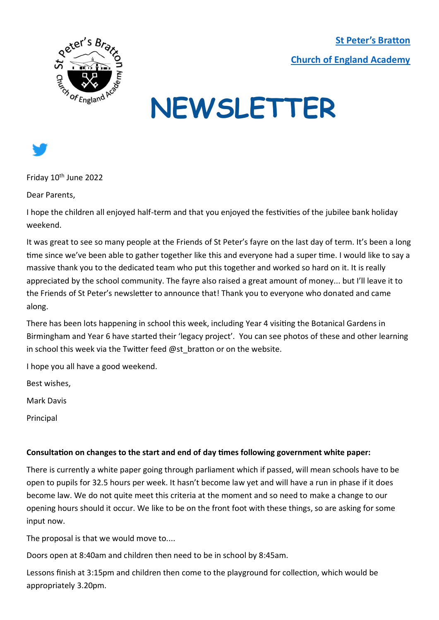**[St Peter's Bratton](https://www.brattonstpeters.org.uk/)  [Church of England Academy](https://www.brattonstpeters.org.uk/)**



# **NEWSLETTER**



Friday 10<sup>th</sup> June 2022

Dear Parents,

I hope the children all enjoyed half-term and that you enjoyed the festivities of the jubilee bank holiday weekend.

It was great to see so many people at the Friends of St Peter's fayre on the last day of term. It's been a long time since we've been able to gather together like this and everyone had a super time. I would like to say a massive thank you to the dedicated team who put this together and worked so hard on it. It is really appreciated by the school community. The fayre also raised a great amount of money... but I'll leave it to the Friends of St Peter's newsletter to announce that! Thank you to everyone who donated and came along.

There has been lots happening in school this week, including Year 4 visiting the Botanical Gardens in Birmingham and Year 6 have started their 'legacy project'. You can see photos of these and other learning in school this week via the Twitter feed @st bratton or on the website.

I hope you all have a good weekend.

Best wishes,

Mark Davis

Principal

#### **Consultation on changes to the start and end of day times following government white paper:**

There is currently a white paper going through parliament which if passed, will mean schools have to be open to pupils for 32.5 hours per week. It hasn't become law yet and will have a run in phase if it does become law. We do not quite meet this criteria at the moment and so need to make a change to our opening hours should it occur. We like to be on the front foot with these things, so are asking for some input now.

The proposal is that we would move to....

Doors open at 8:40am and children then need to be in school by 8:45am.

Lessons finish at 3:15pm and children then come to the playground for collection, which would be appropriately 3.20pm.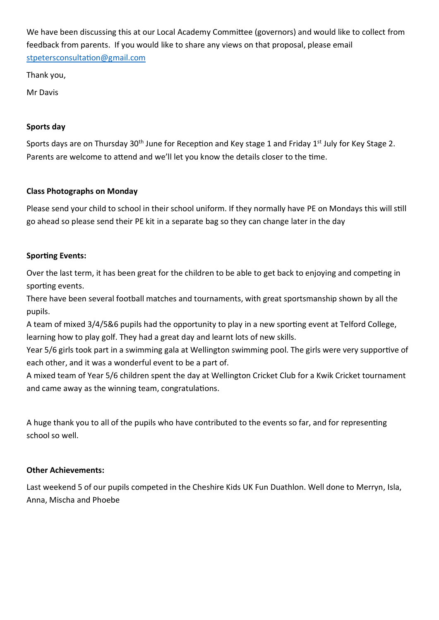We have been discussing this at our Local Academy Committee (governors) and would like to collect from feedback from parents. If you would like to share any views on that proposal, please email [stpetersconsultation@gmail.com](mailto:stpetersconsultation@gmail.com)

Thank you,

Mr Davis

### **Sports day**

Sports days are on Thursday 30<sup>th</sup> June for Reception and Key stage 1 and Friday 1<sup>st</sup> July for Key Stage 2. Parents are welcome to attend and we'll let you know the details closer to the time.

# **Class Photographs on Monday**

Please send your child to school in their school uniform. If they normally have PE on Mondays this will still go ahead so please send their PE kit in a separate bag so they can change later in the day

## **Sporting Events:**

Over the last term, it has been great for the children to be able to get back to enjoying and competing in sporting events.

There have been several football matches and tournaments, with great sportsmanship shown by all the pupils.

A team of mixed 3/4/5&6 pupils had the opportunity to play in a new sporting event at Telford College, learning how to play golf. They had a great day and learnt lots of new skills.

Year 5/6 girls took part in a swimming gala at Wellington swimming pool. The girls were very supportive of each other, and it was a wonderful event to be a part of.

A mixed team of Year 5/6 children spent the day at Wellington Cricket Club for a Kwik Cricket tournament and came away as the winning team, congratulations.

A huge thank you to all of the pupils who have contributed to the events so far, and for representing school so well.

# **Other Achievements:**

Last weekend 5 of our pupils competed in the Cheshire Kids UK Fun Duathlon. Well done to Merryn, Isla, Anna, Mischa and Phoebe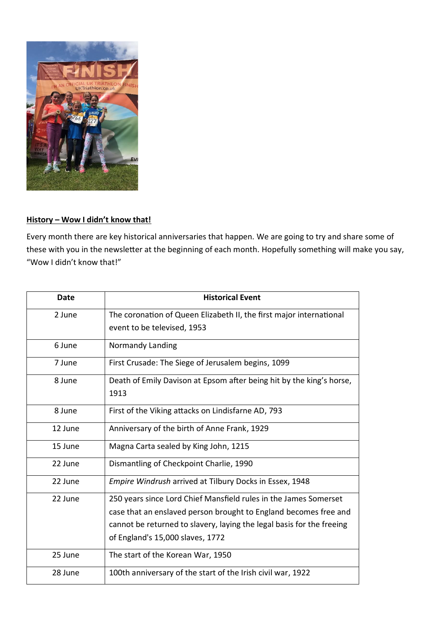

## **History – Wow I didn't know that!**

Every month there are key historical anniversaries that happen. We are going to try and share some of these with you in the newsletter at the beginning of each month. Hopefully something will make you say, "Wow I didn't know that!"

| <b>Date</b> | <b>Historical Event</b>                                               |
|-------------|-----------------------------------------------------------------------|
| 2 June      | The coronation of Queen Elizabeth II, the first major international   |
|             | event to be televised, 1953                                           |
| 6 June      | Normandy Landing                                                      |
| 7 June      | First Crusade: The Siege of Jerusalem begins, 1099                    |
| 8 June      | Death of Emily Davison at Epsom after being hit by the king's horse,  |
|             | 1913                                                                  |
| 8 June      | First of the Viking attacks on Lindisfarne AD, 793                    |
| 12 June     | Anniversary of the birth of Anne Frank, 1929                          |
| 15 June     | Magna Carta sealed by King John, 1215                                 |
| 22 June     | Dismantling of Checkpoint Charlie, 1990                               |
| 22 June     | Empire Windrush arrived at Tilbury Docks in Essex, 1948               |
| 22 June     | 250 years since Lord Chief Mansfield rules in the James Somerset      |
|             | case that an enslaved person brought to England becomes free and      |
|             | cannot be returned to slavery, laying the legal basis for the freeing |
|             | of England's 15,000 slaves, 1772                                      |
| 25 June     | The start of the Korean War, 1950                                     |
| 28 June     | 100th anniversary of the start of the Irish civil war, 1922           |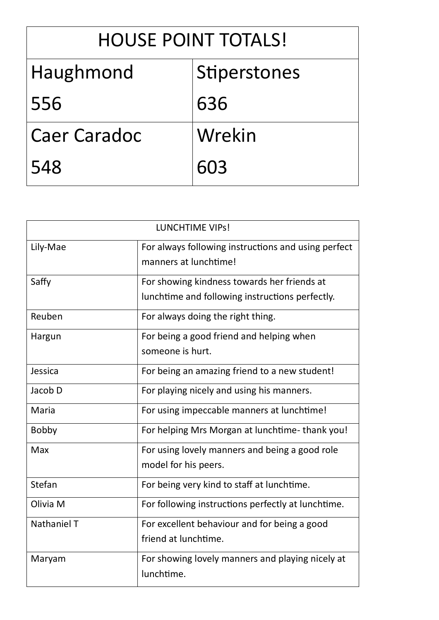| <b>HOUSE POINT TOTALS!</b> |              |  |  |
|----------------------------|--------------|--|--|
| Haughmond                  | Stiperstones |  |  |
| 556                        | 636          |  |  |
| <b>Caer Caradoc</b>        | Wrekin       |  |  |
| 548                        | 603          |  |  |

| <b>LUNCHTIME VIPS!</b> |                                                                                                |  |
|------------------------|------------------------------------------------------------------------------------------------|--|
| Lily-Mae               | For always following instructions and using perfect<br>manners at lunchtime!                   |  |
| Saffy                  | For showing kindness towards her friends at<br>lunchtime and following instructions perfectly. |  |
| Reuben                 | For always doing the right thing.                                                              |  |
| Hargun                 | For being a good friend and helping when<br>someone is hurt.                                   |  |
| Jessica                | For being an amazing friend to a new student!                                                  |  |
| Jacob D                | For playing nicely and using his manners.                                                      |  |
| Maria                  | For using impeccable manners at lunchtime!                                                     |  |
| <b>Bobby</b>           | For helping Mrs Morgan at lunchtime-thank you!                                                 |  |
| Max                    | For using lovely manners and being a good role<br>model for his peers.                         |  |
| Stefan                 | For being very kind to staff at lunchtime.                                                     |  |
| Olivia M               | For following instructions perfectly at lunchtime.                                             |  |
| Nathaniel T            | For excellent behaviour and for being a good<br>friend at lunchtime.                           |  |
| Maryam                 | For showing lovely manners and playing nicely at<br>lunchtime.                                 |  |